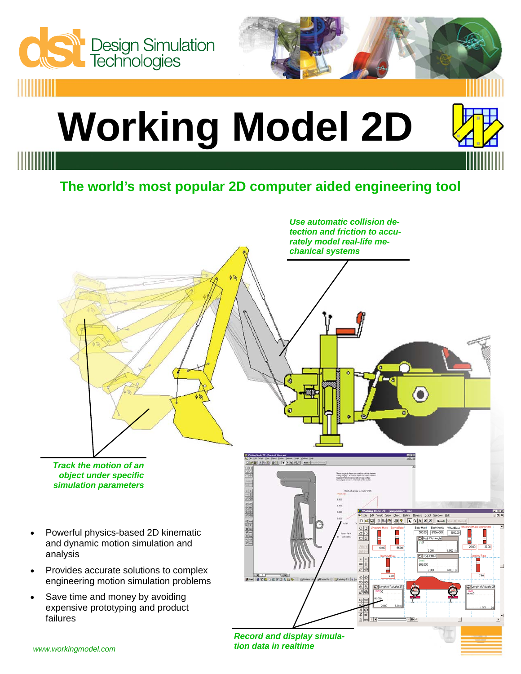

*Record and display simulation data in realtime*